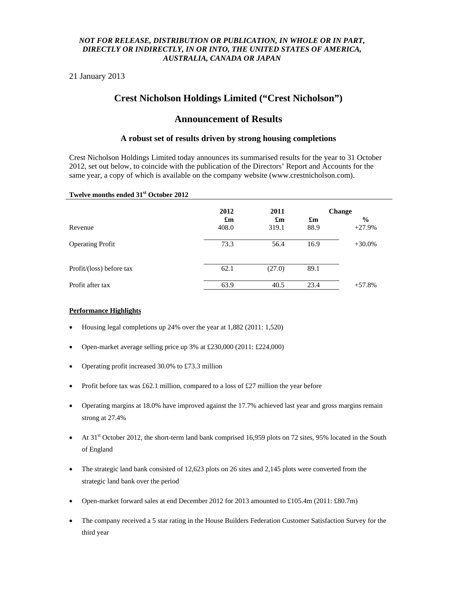### *NOT FOR RELEASE, DISTRIBUTION OR PUBLICATION, IN WHOLE OR IN PART, DIRECTLY OR INDIRECTLY, IN OR INTO, THE UNITED STATES OF AMERICA, AUSTRALIA, CANADA OR JAPAN*

21 January 2013

# **Crest Nicholson Holdings Limited ("Crest Nicholson")**

## **Announcement of Results**

### **A robust set of results driven by strong housing completions**

Crest Nicholson Holdings Limited today announces its summarised results for the year to 31 October 2012, set out below, to coincide with the publication of the Directors' Report and Accounts for the same year, a copy of which is available on the company website (www.crestnicholson.com).

#### **Twelve months ended 31st October 2012**

|                          | 2012                               | 2011                               | <b>Change</b>                     |                           |
|--------------------------|------------------------------------|------------------------------------|-----------------------------------|---------------------------|
| Revenue                  | $\mathbf{f}_{\mathbf{m}}$<br>408.0 | $\mathbf{f}_{\mathbf{m}}$<br>319.1 | $\mathbf{f}_{\mathbf{m}}$<br>88.9 | $\frac{6}{9}$<br>$+27.9%$ |
| <b>Operating Profit</b>  | 73.3                               | 56.4                               | 16.9                              | $+30.0\%$                 |
| Profit/(loss) before tax | 62.1                               | (27.0)                             | 89.1                              |                           |
| Profit after tax         | 63.9                               | 40.5                               | 23.4                              | $+57.8%$                  |

#### **Performance Highlights**

- Housing legal completions up 24% over the year at 1,882 (2011: 1,520)
- Open-market average selling price up  $3\%$  at £230,000 (2011: £224,000)
- Operating profit increased 30.0% to £73.3 million
- Profit before tax was £62.1 million, compared to a loss of £27 million the year before
- Operating margins at 18.0% have improved against the 17.7% achieved last year and gross margins remain strong at 27.4%
- $\blacktriangleright$  At 31<sup>st</sup> October 2012, the short-term land bank comprised 16,959 plots on 72 sites, 95% located in the South of England
- The strategic land bank consisted of 12,623 plots on 26 sites and 2,145 plots were converted from the strategic land bank over the period
- Open-market forward sales at end December 2012 for 2013 amounted to £105.4m (2011: £80.7m)
- The company received a 5 star rating in the House Builders Federation Customer Satisfaction Survey for the third year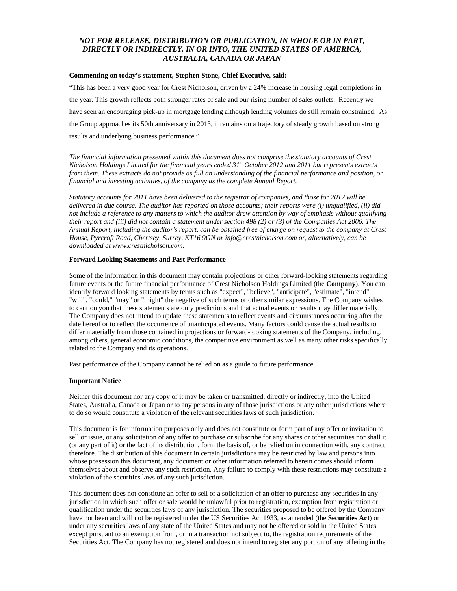### *NOT FOR RELEASE, DISTRIBUTION OR PUBLICATION, IN WHOLE OR IN PART, DIRECTLY OR INDIRECTLY, IN OR INTO, THE UNITED STATES OF AMERICA, AUSTRALIA, CANADA OR JAPAN*

#### **Commenting on today's statement, Stephen Stone, Chief Executive, said:**

"This has been a very good year for Crest Nicholson, driven by a 24% increase in housing legal completions in the year. This growth reflects both stronger rates of sale and our rising number of sales outlets. Recently we have seen an encouraging pick-up in mortgage lending although lending volumes do still remain constrained. As the Group approaches its 50th anniversary in 2013, it remains on a trajectory of steady growth based on strong results and underlying business performance."

*The financial information presented within this document does not comprise the statutory accounts of Crest Nicholson Holdings Limited for the financial years ended 31st October 2012 and 2011 but represents extracts from them. These extracts do not provide as full an understanding of the financial performance and position, or financial and investing activities, of the company as the complete Annual Report.* 

*Statutory accounts for 2011 have been delivered to the registrar of companies, and those for 2012 will be delivered in due course. The auditor has reported on those accounts; their reports were (i) unqualified, (ii) did not include a reference to any matters to which the auditor drew attention by way of emphasis without qualifying their report and (iii) did not contain a statement under section 498 (2) or (3) of the Companies Act 2006. The Annual Report, including the auditor's report, can be obtained free of charge on request to the company at Crest House, Pyrcroft Road, Chertsey, Surrey, KT16 9GN or info@crestnicholson.com or, alternatively, can be downloaded at www.crestnicholson.com.* 

#### **Forward Looking Statements and Past Performance**

Some of the information in this document may contain projections or other forward-looking statements regarding future events or the future financial performance of Crest Nicholson Holdings Limited (the **Company**). You can identify forward looking statements by terms such as "expect", "believe", "anticipate", "estimate", "intend", "will", "could," "may" or "might" the negative of such terms or other similar expressions. The Company wishes to caution you that these statements are only predictions and that actual events or results may differ materially. The Company does not intend to update these statements to reflect events and circumstances occurring after the date hereof or to reflect the occurrence of unanticipated events. Many factors could cause the actual results to differ materially from those contained in projections or forward-looking statements of the Company, including, among others, general economic conditions, the competitive environment as well as many other risks specifically related to the Company and its operations.

Past performance of the Company cannot be relied on as a guide to future performance.

#### **Important Notice**

Neither this document nor any copy of it may be taken or transmitted, directly or indirectly, into the United States, Australia, Canada or Japan or to any persons in any of those jurisdictions or any other jurisdictions where to do so would constitute a violation of the relevant securities laws of such jurisdiction.

This document is for information purposes only and does not constitute or form part of any offer or invitation to sell or issue, or any solicitation of any offer to purchase or subscribe for any shares or other securities nor shall it (or any part of it) or the fact of its distribution, form the basis of, or be relied on in connection with, any contract therefore. The distribution of this document in certain jurisdictions may be restricted by law and persons into whose possession this document, any document or other information referred to herein comes should inform themselves about and observe any such restriction. Any failure to comply with these restrictions may constitute a violation of the securities laws of any such jurisdiction.

This document does not constitute an offer to sell or a solicitation of an offer to purchase any securities in any jurisdiction in which such offer or sale would be unlawful prior to registration, exemption from registration or qualification under the securities laws of any jurisdiction. The securities proposed to be offered by the Company have not been and will not be registered under the US Securities Act 1933, as amended (the **Securities Act**) or under any securities laws of any state of the United States and may not be offered or sold in the United States except pursuant to an exemption from, or in a transaction not subject to, the registration requirements of the Securities Act. The Company has not registered and does not intend to register any portion of any offering in the